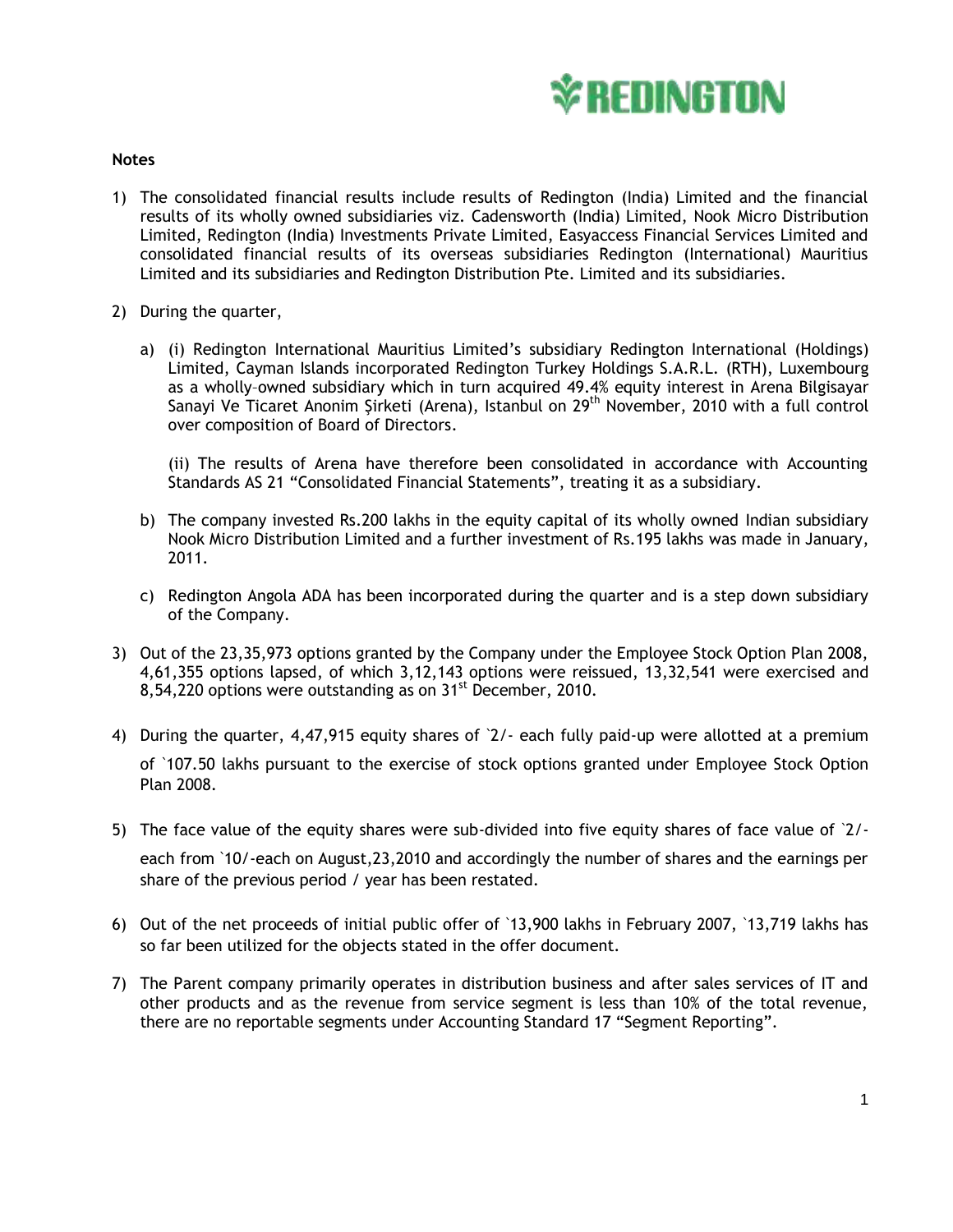

## **Notes**

- 1) The consolidated financial results include results of Redington (India) Limited and the financial results of its wholly owned subsidiaries viz. Cadensworth (India) Limited, Nook Micro Distribution Limited, Redington (India) Investments Private Limited, Easyaccess Financial Services Limited and consolidated financial results of its overseas subsidiaries Redington (International) Mauritius Limited and its subsidiaries and Redington Distribution Pte. Limited and its subsidiaries.
- 2) During the quarter,
	- a) (i) Redington International Mauritius Limited's subsidiary Redington International (Holdings) Limited, Cayman Islands incorporated Redington Turkey Holdings S.A.R.L. (RTH), Luxembourg as a wholly–owned subsidiary which in turn acquired 49.4% equity interest in Arena Bilgisayar Sanayi Ve Ticaret Anonim Şirketi (Arena), Istanbul on 29<sup>th</sup> November, 2010 with a full control over composition of Board of Directors.

(ii) The results of Arena have therefore been consolidated in accordance with Accounting Standards AS 21 "Consolidated Financial Statements", treating it as a subsidiary.

- b) The company invested Rs.200 lakhs in the equity capital of its wholly owned Indian subsidiary Nook Micro Distribution Limited and a further investment of Rs.195 lakhs was made in January, 2011.
- c) Redington Angola ADA has been incorporated during the quarter and is a step down subsidiary of the Company.
- 3) Out of the 23,35,973 options granted by the Company under the Employee Stock Option Plan 2008, 4,61,355 options lapsed, of which 3,12,143 options were reissued, 13,32,541 were exercised and  $8,54,220$  options were outstanding as on  $31<sup>st</sup>$  December, 2010.
- 4) During the quarter, 4,47,915 equity shares of `2/- each fully paid-up were allotted at a premium of `107.50 lakhs pursuant to the exercise of stock options granted under Employee Stock Option Plan 2008.
- 5) The face value of the equity shares were sub-divided into five equity shares of face value of `2/ each from `10/-each on August,23,2010 and accordingly the number of shares and the earnings per share of the previous period / year has been restated.
- 6) Out of the net proceeds of initial public offer of `13,900 lakhs in February 2007, `13,719 lakhs has so far been utilized for the objects stated in the offer document.
- 7) The Parent company primarily operates in distribution business and after sales services of IT and other products and as the revenue from service segment is less than 10% of the total revenue, there are no reportable segments under Accounting Standard 17 "Segment Reporting".